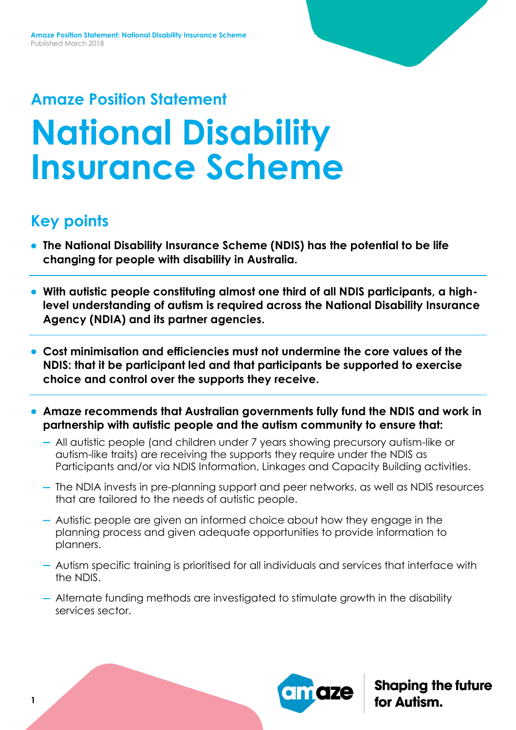# **Amaze Position Statement National Disability Insurance Scheme**

# **Key points**

- **The National Disability Insurance Scheme (NDIS) has the potential to be life changing for people with disability in Australia.**
- **With autistic people constituting almost one third of all NDIS participants, a highlevel understanding of autism is required across the National Disability Insurance Agency (NDIA) and its partner agencies.**
- **Cost minimisation and efficiencies must not undermine the core values of the NDIS: that it be participant led and that participants be supported to exercise choice and control over the supports they receive.**
- **Amaze recommends that Australian governments fully fund the NDIS and work in partnership with autistic people and the autism community to ensure that:**
	- All autistic people (and children under 7 years showing precursory autism-like or autism-like traits) are receiving the supports they require under the NDIS as Participants and/or via NDIS Information, Linkages and Capacity Building activities.
	- The NDIA invests in pre-planning support and peer networks, as well as NDIS resources that are tailored to the needs of autistic people.
	- Autistic people are given an informed choice about how they engage in the planning process and given adequate opportunities to provide information to planners.
	- Autism specific training is prioritised for all individuals and services that interface with the NDIS.
	- Alternate funding methods are investigated to stimulate growth in the disability services sector.

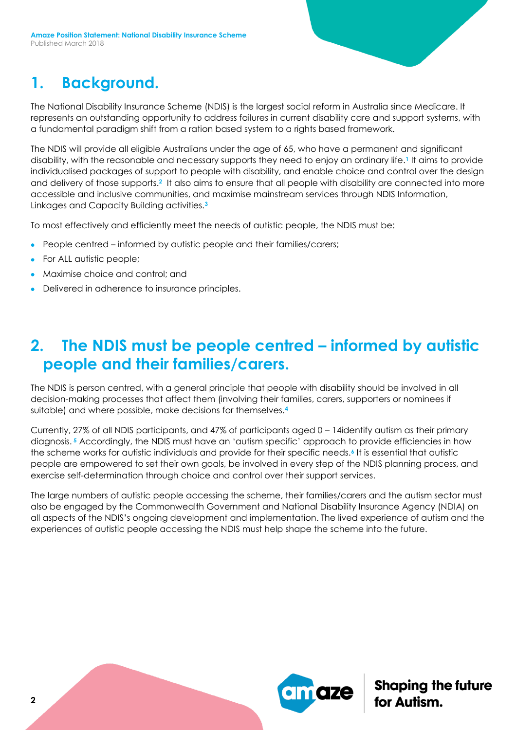# **1. Background.**

The National Disability Insurance Scheme (NDIS) is the largest social reform in Australia since Medicare. It represents an outstanding opportunity to address failures in current disability care and support systems, with a fundamental paradigm shift from a ration based system to a rights based framework.

The NDIS will provide all eligible Australians under the age of 65, who have a permanent and significant disability, with the reasonable and necessary supports they need to enjoy an ordinary life.**<sup>1</sup>** It aims to provide individualised packages of support to people with disability, and enable choice and control over the design and delivery of those supports.**2** It also aims to ensure that all people with disability are connected into more accessible and inclusive communities, and maximise mainstream services through NDIS Information, Linkages and Capacity Building activities.**<sup>3</sup>**

To most effectively and efficiently meet the needs of autistic people, the NDIS must be:

- People centred informed by autistic people and their families/carers;
- For ALL autistic people;
- Maximise choice and control; and
- Delivered in adherence to insurance principles.

#### **2. The NDIS must be people centred – informed by autistic people and their families/carers.**

The NDIS is person centred, with a general principle that people with disability should be involved in all decision-making processes that affect them (involving their families, carers, supporters or nominees if suitable) and where possible, make decisions for themselves.**<sup>4</sup>**

Currently, 27% of all NDIS participants, and 47% of participants aged 0 – 14identify autism as their primary diagnosis. **<sup>5</sup>** Accordingly, the NDIS must have an 'autism specific' approach to provide efficiencies in how the scheme works for autistic individuals and provide for their specific needs.**<sup>6</sup>** It is essential that autistic people are empowered to set their own goals, be involved in every step of the NDIS planning process, and exercise self-determination through choice and control over their support services.

The large numbers of autistic people accessing the scheme, their families/carers and the autism sector must also be engaged by the Commonwealth Government and National Disability Insurance Agency (NDIA) on all aspects of the NDIS's ongoing development and implementation. The lived experience of autism and the experiences of autistic people accessing the NDIS must help shape the scheme into the future.

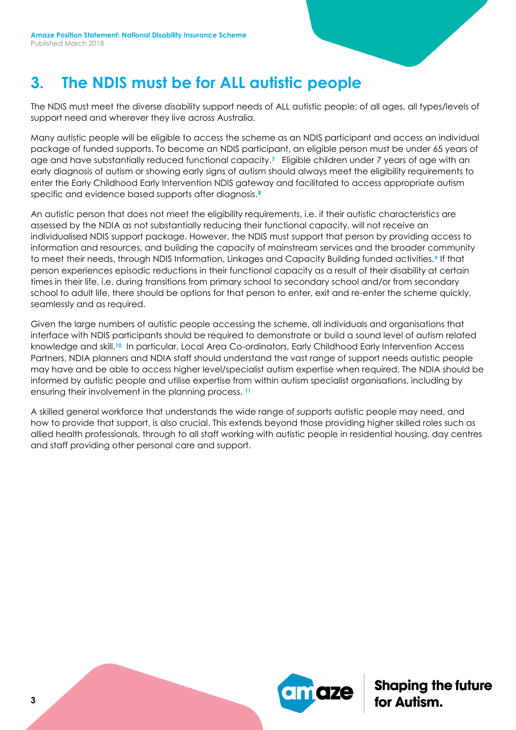**Amaze Position Statement: National Disability Insurance Scheme** Published March 2018

# **3. The NDIS must be for ALL autistic people**

The NDIS must meet the diverse disability support needs of ALL autistic people; of all ages, all types/levels of support need and wherever they live across Australia.

Many autistic people will be eligible to access the scheme as an NDIS participant and access an individual package of funded supports. To become an NDIS participant, an eligible person must be under 65 years of age and have substantially reduced functional capacity.**7** Eligible children under 7 years of age with an early diagnosis of autism or showing early signs of autism should always meet the eligibility requirements to enter the Early Childhood Early Intervention NDIS gateway and facilitated to access appropriate autism specific and evidence based supports after diagnosis.**<sup>8</sup>**

An autistic person that does not meet the eligibility requirements, i.e. if their autistic characteristics are assessed by the NDIA as not substantially reducing their functional capacity, will not receive an individualised NDIS support package. However, the NDIS must support that person by providing access to information and resources, and building the capacity of mainstream services and the broader community to meet their needs, through NDIS Information, Linkages and Capacity Building funded activities.**<sup>9</sup>** If that person experiences episodic reductions in their functional capacity as a result of their disability at certain times in their life, i.e. during transitions from primary school to secondary school and/or from secondary school to adult life, there should be options for that person to enter, exit and re-enter the scheme quickly, seamlessly and as required.

Given the large numbers of autistic people accessing the scheme, all individuals and organisations that interface with NDIS participants should be required to demonstrate or build a sound level of autism related knowledge and skill.**10** In particular, Local Area Co-ordinators, Early Childhood Early Intervention Access Partners, NDIA planners and NDIA staff should understand the vast range of support needs autistic people may have and be able to access higher level/specialist autism expertise when required. The NDIA should be informed by autistic people and utilise expertise from within autism specialist organisations, including by ensuring their involvement in the planning process. **<sup>11</sup>**

A skilled general workforce that understands the wide range of supports autistic people may need, and how to provide that support, is also crucial. This extends beyond those providing higher skilled roles such as allied health professionals, through to all staff working with autistic people in residential housing, day centres and staff providing other personal care and support.

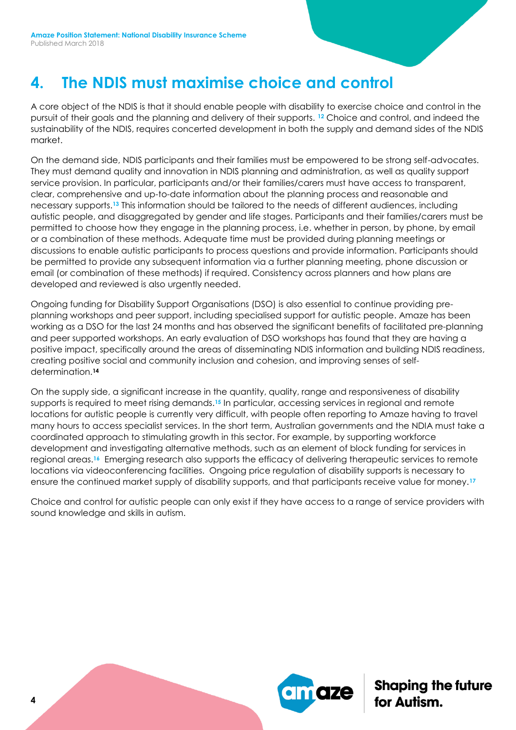# **4. The NDIS must maximise choice and control**

A core object of the NDIS is that it should enable people with disability to exercise choice and control in the pursuit of their goals and the planning and delivery of their supports. **<sup>12</sup>** Choice and control, and indeed the sustainability of the NDIS, requires concerted development in both the supply and demand sides of the NDIS market.

On the demand side, NDIS participants and their families must be empowered to be strong self-advocates. They must demand quality and innovation in NDIS planning and administration, as well as quality support service provision. In particular, participants and/or their families/carers must have access to transparent, clear, comprehensive and up-to-date information about the planning process and reasonable and necessary supports.**<sup>13</sup>** This information should be tailored to the needs of different audiences, including autistic people, and disaggregated by gender and life stages. Participants and their families/carers must be permitted to choose how they engage in the planning process, i.e. whether in person, by phone, by email or a combination of these methods. Adequate time must be provided during planning meetings or discussions to enable autistic participants to process questions and provide information. Participants should be permitted to provide any subsequent information via a further planning meeting, phone discussion or email (or combination of these methods) if required. Consistency across planners and how plans are developed and reviewed is also urgently needed.

Ongoing funding for Disability Support Organisations (DSO) is also essential to continue providing preplanning workshops and peer support, including specialised support for autistic people. Amaze has been working as a DSO for the last 24 months and has observed the significant benefits of facilitated pre-planning and peer supported workshops. An early evaluation of DSO workshops has found that they are having a positive impact, specifically around the areas of disseminating NDIS information and building NDIS readiness, creating positive social and community inclusion and cohesion, and improving senses of selfdetermination.**<sup>14</sup>**

On the supply side, a significant increase in the quantity, quality, range and responsiveness of disability supports is required to meet rising demands.**<sup>15</sup>** In particular, accessing services in regional and remote locations for autistic people is currently very difficult, with people often reporting to Amaze having to travel many hours to access specialist services. In the short term, Australian governments and the NDIA must take a coordinated approach to stimulating growth in this sector. For example, by supporting workforce development and investigating alternative methods, such as an element of block funding for services in regional areas.**16** Emerging research also supports the efficacy of delivering therapeutic services to remote locations via videoconferencing facilities. Ongoing price regulation of disability supports is necessary to ensure the continued market supply of disability supports, and that participants receive value for money.**<sup>17</sup>**

Choice and control for autistic people can only exist if they have access to a range of service providers with sound knowledge and skills in autism.

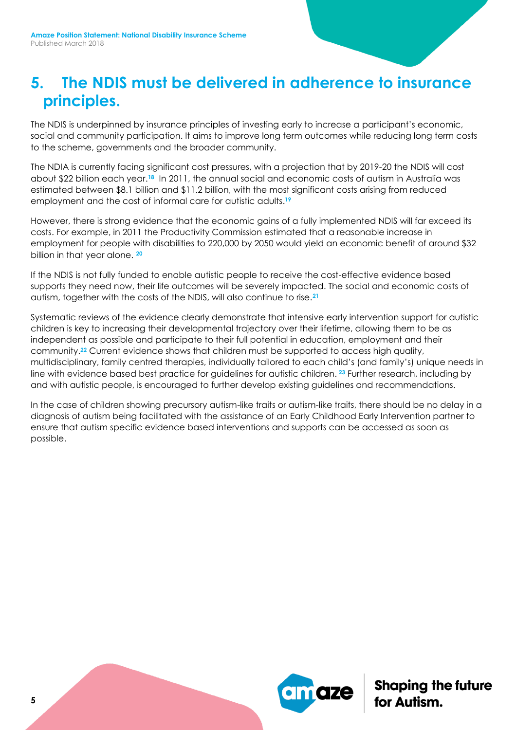#### **5. The NDIS must be delivered in adherence to insurance principles.**

The NDIS is underpinned by insurance principles of investing early to increase a participant's economic, social and community participation. It aims to improve long term outcomes while reducing long term costs to the scheme, governments and the broader community.

The NDIA is currently facing significant cost pressures, with a projection that by 2019-20 the NDIS will cost about \$22 billion each year.**<sup>18</sup>** In 2011, the annual social and economic costs of autism in Australia was estimated between \$8.1 billion and \$11.2 billion, with the most significant costs arising from reduced employment and the cost of informal care for autistic adults. **19**

However, there is strong evidence that the economic gains of a fully implemented NDIS will far exceed its costs. For example, in 2011 the Productivity Commission estimated that a reasonable increase in employment for people with disabilities to 220,000 by 2050 would yield an economic benefit of around \$32 billion in that year alone. **<sup>20</sup>**

If the NDIS is not fully funded to enable autistic people to receive the cost-effective evidence based supports they need now, their life outcomes will be severely impacted. The social and economic costs of autism, together with the costs of the NDIS, will also continue to rise.**<sup>21</sup>**

Systematic reviews of the evidence clearly demonstrate that intensive early intervention support for autistic children is key to increasing their developmental trajectory over their lifetime, allowing them to be as independent as possible and participate to their full potential in education, employment and their community.**<sup>22</sup>** Current evidence shows that children must be supported to access high quality, multidisciplinary, family centred therapies, individually tailored to each child's (and family's) unique needs in line with evidence based best practice for guidelines for autistic children. **<sup>23</sup>** Further research, including by and with autistic people, is encouraged to further develop existing guidelines and recommendations.

In the case of children showing precursory autism-like traits or autism-like traits, there should be no delay in a diagnosis of autism being facilitated with the assistance of an Early Childhood Early Intervention partner to ensure that autism specific evidence based interventions and supports can be accessed as soon as possible.

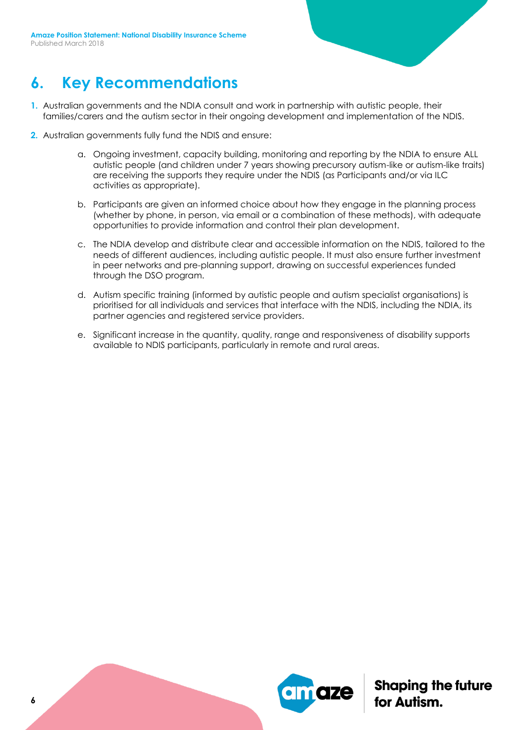**Amaze Position Statement: National Disability Insurance Scheme** Published March 2018

## **6. Key Recommendations**

- **1.** Australian governments and the NDIA consult and work in partnership with autistic people, their families/carers and the autism sector in their ongoing development and implementation of the NDIS.
- **2.** Australian governments fully fund the NDIS and ensure:
	- a. Ongoing investment, capacity building, monitoring and reporting by the NDIA to ensure ALL autistic people (and children under 7 years showing precursory autism-like or autism-like traits) are receiving the supports they require under the NDIS (as Participants and/or via ILC activities as appropriate).
	- b. Participants are given an informed choice about how they engage in the planning process (whether by phone, in person, via email or a combination of these methods), with adequate opportunities to provide information and control their plan development.
	- c. The NDIA develop and distribute clear and accessible information on the NDIS, tailored to the needs of different audiences, including autistic people. It must also ensure further investment in peer networks and pre-planning support, drawing on successful experiences funded through the DSO program.
	- d. Autism specific training (informed by autistic people and autism specialist organisations) is prioritised for all individuals and services that interface with the NDIS, including the NDIA, its partner agencies and registered service providers.
	- e. Significant increase in the quantity, quality, range and responsiveness of disability supports available to NDIS participants, particularly in remote and rural areas.

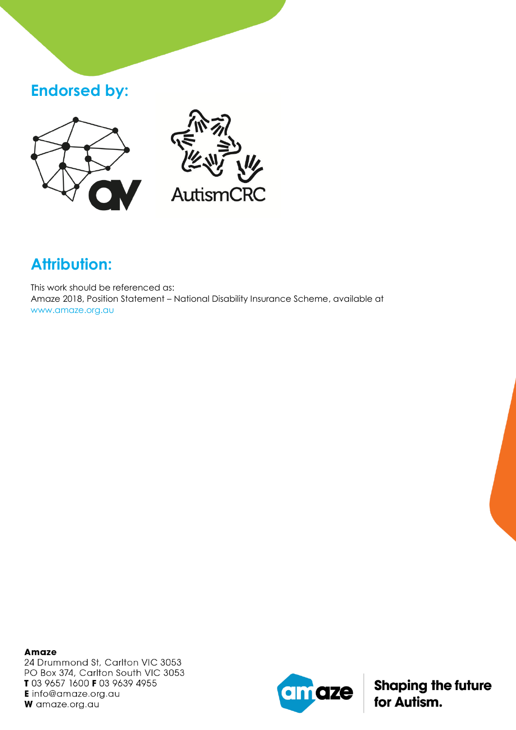### **Endorsed by:**





# **Attribution:**

This work should be referenced as: Amaze 2018, Position Statement – National Disability Insurance Scheme, available at www.amaze.org.au

**Amaze** 24 Drummond St, Carlton VIC 3053 PO Box 374, Carlton South VIC 3053 T 03 9657 1600 F 03 9639 4955 **E** info@amaze.org.au W amaze.org.au